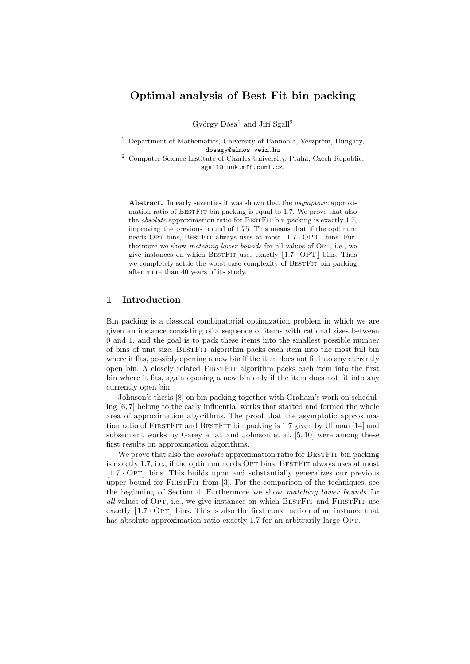# Optimal analysis of Best Fit bin packing

György Dósa<sup>1</sup> and Jiří Sgall<sup>2</sup>

- $1$  Department of Mathematics, University of Pannonia, Veszprém, Hungary, dosagy@almos.vein.hu
- $^{\rm 2}$  Computer Science Institute of Charles University, Praha, Czech Republic, sgall@iuuk.mff.cuni.cz.

Abstract. In early seventies it was shown that the *asymptotic* approximation ratio of BestFit bin packing is equal to 1.7. We prove that also the *absolute* approximation ratio for BESTFIT bin packing is exactly 1.7, improving the previous bound of 1.75. This means that if the optimum needs OPT bins, BESTFIT always uses at most  $\left| 1.7 \cdot \text{OPT} \right|$  bins. Furthermore we show *matching lower bounds* for all values of OPT, i.e., we give instances on which BESTFIT uses exactly  $|1.7 \cdot \text{OPT}|$  bins. Thus we completely settle the worst-case complexity of BESTFIT bin packing after more than 40 years of its study.

## 1 Introduction

Bin packing is a classical combinatorial optimization problem in which we are given an instance consisting of a sequence of items with rational sizes between 0 and 1, and the goal is to pack these items into the smallest possible number of bins of unit size. BestFit algorithm packs each item into the most full bin where it fits, possibly opening a new bin if the item does not fit into any currently open bin. A closely related FirstFit algorithm packs each item into the first bin where it fits, again opening a new bin only if the item does not fit into any currently open bin.

Johnson's thesis [8] on bin packing together with Graham's work on scheduling [6, 7] belong to the early influential works that started and formed the whole area of approximation algorithms. The proof that the asymptotic approximation ratio of FIRSTFIT and BESTFIT bin packing is 1.7 given by Ullman [14] and subsequent works by Garey et al. and Johnson et al. [5, 10] were among these first results on approximation algorithms.

We prove that also the *absolute* approximation ratio for BESTFIT bin packing is exactly 1.7, i.e., if the optimum needs OPT bins, BESTFIT always uses at most  $\lfloor 1.7 \cdot \text{OPT} \rfloor$  bins. This builds upon and substantially generalizes our previous upper bound for FIRSTFIT from [3]. For the comparison of the techniques, see the beginning of Section 4. Furthermore we show matching lower bounds for all values of Opt, i.e., we give instances on which BestFit and FirstFit use exactly  $\left|1.7 \cdot \text{OPT}\right|$  bins. This is also the first construction of an instance that has absolute approximation ratio exactly 1.7 for an arbitrarily large OPT.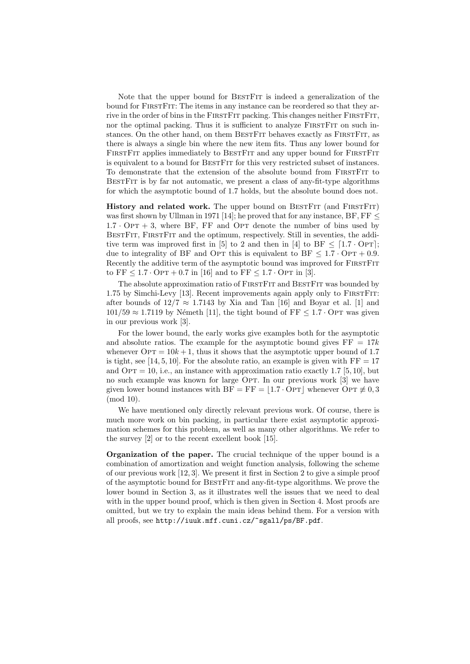Note that the upper bound for BestFit is indeed a generalization of the bound for FirstFit: The items in any instance can be reordered so that they arrive in the order of bins in the FIRSTFIT packing. This changes neither FIRSTFIT, nor the optimal packing. Thus it is sufficient to analyze FIRSTFIT on such instances. On the other hand, on them BESTFIT behaves exactly as FIRSTFIT, as there is always a single bin where the new item fits. Thus any lower bound for FIRSTFIT applies immediately to BESTFIT and any upper bound for FIRSTFIT is equivalent to a bound for BestFit for this very restricted subset of instances. To demonstrate that the extension of the absolute bound from FirstFit to BestFit is by far not automatic, we present a class of any-fit-type algorithms for which the asymptotic bound of 1.7 holds, but the absolute bound does not.

History and related work. The upper bound on BESTFIT (and FIRSTFIT) was first shown by Ullman in 1971 [14]; he proved that for any instance,  $BF, FF \leq$  $1.7 \cdot \text{OPT} + 3$ , where BF, FF and OPT denote the number of bins used by BestFit, FirstFit and the optimum, respectively. Still in seventies, the additive term was improved first in [5] to 2 and then in [4] to BF  $\leq$  [1.7 · OpT]; due to integrality of BF and OPT this is equivalent to BF  $\leq 1.7 \cdot \text{OPT} + 0.9$ . Recently the additive term of the asymptotic bound was improved for FIRSTFIT to  $FF < 1.7 \cdot OPT + 0.7$  in [16] and to  $FF < 1.7 \cdot OPT$  in [3].

The absolute approximation ratio of FIRSTFIT and BESTFIT was bounded by 1.75 by Simchi-Levy [13]. Recent improvements again apply only to FirstFit: after bounds of  $12/7 \approx 1.7143$  by Xia and Tan [16] and Boyar et al. [1] and  $101/59 \approx 1.7119$  by Németh [11], the tight bound of FF  $\leq 1.7 \cdot$  OPT was given in our previous work [3].

For the lower bound, the early works give examples both for the asymptotic and absolute ratios. The example for the asymptotic bound gives  $FF = 17k$ whenever  $\text{OPT} = 10k + 1$ , thus it shows that the asymptotic upper bound of 1.7 is tight, see [14, 5, 10]. For the absolute ratio, an example is given with  $FF = 17$ and  $\text{OPT} = 10$ , i.e., an instance with approximation ratio exactly 1.7 [5, 10], but no such example was known for large OPT. In our previous work [3] we have given lower bound instances with  $BF = FF = [1.7 \cdot OPT]$  whenever Opt  $\not\equiv 0, 3$ (mod 10).

We have mentioned only directly relevant previous work. Of course, there is much more work on bin packing, in particular there exist asymptotic approximation schemes for this problem, as well as many other algorithms. We refer to the survey [2] or to the recent excellent book [15].

Organization of the paper. The crucial technique of the upper bound is a combination of amortization and weight function analysis, following the scheme of our previous work [12, 3]. We present it first in Section 2 to give a simple proof of the asymptotic bound for BestFit and any-fit-type algorithms. We prove the lower bound in Section 3, as it illustrates well the issues that we need to deal with in the upper bound proof, which is then given in Section 4. Most proofs are omitted, but we try to explain the main ideas behind them. For a version with all proofs, see http://iuuk.mff.cuni.cz/~sgall/ps/BF.pdf.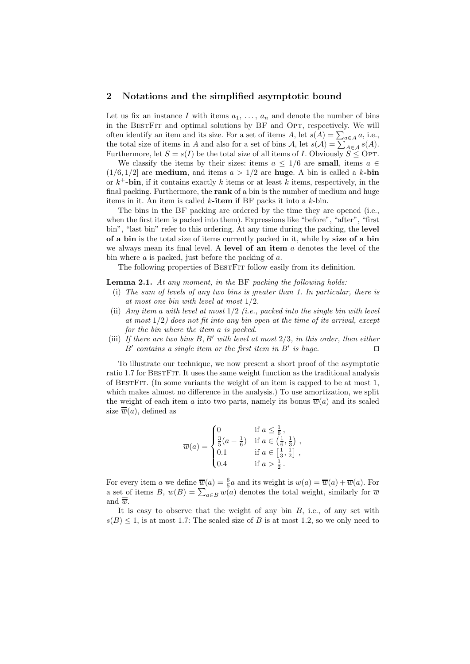### 2 Notations and the simplified asymptotic bound

Let us fix an instance I with items  $a_1, \ldots, a_n$  and denote the number of bins in the BESTFIT and optimal solutions by BF and OPT, respectively. We will often identify an item and its size. For a set of items  $A$ , let  $s(A) = \sum_{a \in A} a$ , i.e., the total size of items in A and also for a set of bins  $A$ , let  $s(A) = \sum_{A \in \mathcal{A}} s(A)$ . Furthermore, let  $S = s(I)$  be the total size of all items of I. Obviously  $S \leq \text{OPT}$ .

We classify the items by their sizes: items  $a \leq 1/6$  are small, items  $a \in \mathbb{R}$  $(1/6, 1/2]$  are **medium**, and items  $a > 1/2$  are **huge**. A bin is called a k-bin or  $k^+$ -bin, if it contains exactly k items or at least k items, respectively, in the final packing. Furthermore, the rank of a bin is the number of medium and huge items in it. An item is called  $k$ -item if BF packs it into a  $k$ -bin.

The bins in the BF packing are ordered by the time they are opened (i.e., when the first item is packed into them). Expressions like "before", "after", "first bin", "last bin" refer to this ordering. At any time during the packing, the level of a bin is the total size of items currently packed in it, while by size of a bin we always mean its final level. A level of an item  $a$  denotes the level of the bin where  $a$  is packed, just before the packing of  $a$ .

The following properties of BESTFIT follow easily from its definition.

Lemma 2.1. At any moment, in the BF packing the following holds:

- (i) The sum of levels of any two bins is greater than 1. In particular, there is at most one bin with level at most 1/2.
- (ii) Any item a with level at most  $1/2$  (i.e., packed into the single bin with level at most  $1/2$ ) does not fit into any bin open at the time of its arrival, except for the bin where the item a is packed.
- (iii) If there are two bins  $B, B'$  with level at most  $2/3$ , in this order, then either  $B'$  contains a single item or the first item in  $B'$  is huge.

To illustrate our technique, we now present a short proof of the asymptotic ratio 1.7 for BestFit. It uses the same weight function as the traditional analysis of BestFit. (In some variants the weight of an item is capped to be at most 1, which makes almost no difference in the analysis.) To use amortization, we split the weight of each item a into two parts, namely its bonus  $\overline{w}(a)$  and its scaled size  $\overline{\overline{w}}(a)$ , defined as

$$
\overline{w}(a) = \begin{cases}\n0 & \text{if } a \leq \frac{1}{6}, \\
\frac{3}{5}(a - \frac{1}{6}) & \text{if } a \in (\frac{1}{6}, \frac{1}{3}) , \\
0.1 & \text{if } a \in [\frac{1}{3}, \frac{1}{2}] , \\
0.4 & \text{if } a > \frac{1}{2} .\n\end{cases}
$$

For every item a we define  $\overline{\overline{w}}(a) = \frac{6}{5}a$  and its weight is  $w(a) = \overline{\overline{w}}(a) + \overline{w}(a)$ . For a set of items B,  $w(B) = \sum_{a \in B} w(a)$  denotes the total weight, similarly for  $\overline{w}$ and  $\overline{\overline{w}}$ .

It is easy to observe that the weight of any bin  $B$ , i.e., of any set with  $s(B) \leq 1$ , is at most 1.7: The scaled size of B is at most 1.2, so we only need to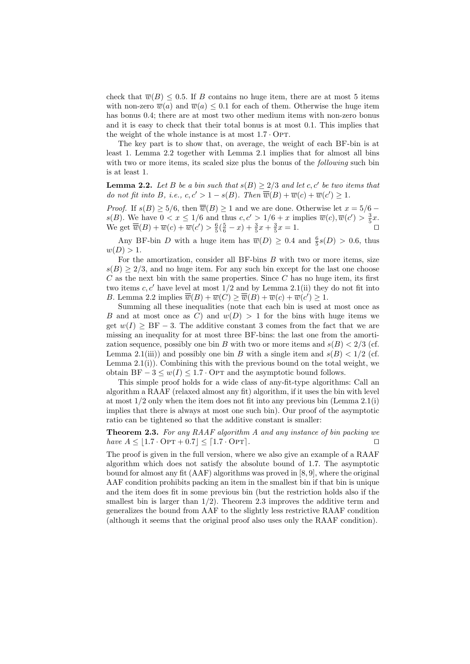check that  $\overline{w}(B) \leq 0.5$ . If B contains no huge item, there are at most 5 items with non-zero  $\overline{w}(a)$  and  $\overline{w}(a) \leq 0.1$  for each of them. Otherwise the huge item has bonus 0.4; there are at most two other medium items with non-zero bonus and it is easy to check that their total bonus is at most 0.1. This implies that the weight of the whole instance is at most  $1.7 \cdot \text{OPT}$ .

The key part is to show that, on average, the weight of each BF-bin is at least 1. Lemma 2.2 together with Lemma 2.1 implies that for almost all bins with two or more items, its scaled size plus the bonus of the *following* such bin is at least 1.

**Lemma 2.2.** Let B be a bin such that  $s(B) \geq 2/3$  and let c, c' be two items that do not fit into B, i.e.,  $c, c' > 1 - s(B)$ . Then  $\overline{\overline{w}}(B) + \overline{w}(c) + \overline{w}(c') \geq 1$ .

*Proof.* If  $s(B) \ge 5/6$ , then  $\overline{\overline{w}}(B) \ge 1$  and we are done. Otherwise let  $x = 5/6$  –  $s(B)$ . We have  $0 < x \leq 1/6$  and thus  $c, c' > 1/6 + x$  implies  $\overline{w}(c), \overline{w}(c') > \frac{3}{5}x$ . We get  $\overline{\overline{w}}(B) + \overline{w}(c) + \overline{w}(c') > \frac{6}{5}(\frac{5}{6} - x) + \frac{3}{5}x + \frac{3}{5}x = 1.$ 

Any BF-bin D with a huge item has  $\overline{w}(D) \geq 0.4$  and  $\frac{6}{5}s(D) > 0.6$ , thus  $w(D) > 1.$ 

For the amortization, consider all BF-bins  $B$  with two or more items, size  $s(B) \geq 2/3$ , and no huge item. For any such bin except for the last one choose  $C$  as the next bin with the same properties. Since  $C$  has no huge item, its first two items  $c, c'$  have level at most  $1/2$  and by Lemma 2.1(ii) they do not fit into B. Lemma 2.2 implies  $\overline{\overline{w}}(B) + \overline{w}(C) \ge \overline{\overline{w}}(B) + \overline{w}(c) + \overline{w}(c') \ge 1$ .

Summing all these inequalities (note that each bin is used at most once as B and at most once as C) and  $w(D) > 1$  for the bins with huge items we get  $w(I) > BF - 3$ . The additive constant 3 comes from the fact that we are missing an inequality for at most three BF-bins: the last one from the amortization sequence, possibly one bin B with two or more items and  $s(B) < 2/3$  (cf. Lemma 2.1(iii)) and possibly one bin B with a single item and  $s(B) < 1/2$  (cf. Lemma  $2.1(i)$ ). Combining this with the previous bound on the total weight, we obtain BF  $-3 \leq w(I) \leq 1.7 \cdot \text{OPT}$  and the asymptotic bound follows.

This simple proof holds for a wide class of any-fit-type algorithms: Call an algorithm a RAAF (relaxed almost any fit) algorithm, if it uses the bin with level at most  $1/2$  only when the item does not fit into any previous bin (Lemma 2.1(i) implies that there is always at most one such bin). Our proof of the asymptotic ratio can be tightened so that the additive constant is smaller:

Theorem 2.3. For any RAAF algorithm A and any instance of bin packing we have  $A \leq [1.7 \cdot \text{OPT} + 0.7] \leq [1.7 \cdot \text{OPT}]$ .

The proof is given in the full version, where we also give an example of a RAAF algorithm which does not satisfy the absolute bound of 1.7. The asymptotic bound for almost any fit (AAF) algorithms was proved in [8, 9], where the original AAF condition prohibits packing an item in the smallest bin if that bin is unique and the item does fit in some previous bin (but the restriction holds also if the smallest bin is larger than  $1/2$ ). Theorem 2.3 improves the additive term and generalizes the bound from AAF to the slightly less restrictive RAAF condition (although it seems that the original proof also uses only the RAAF condition).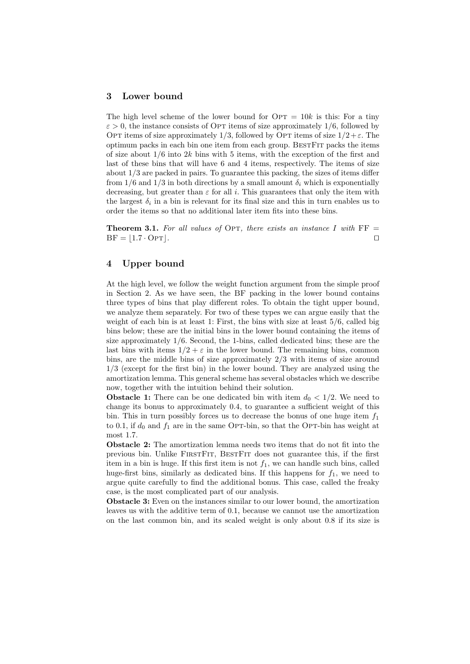## 3 Lower bound

The high level scheme of the lower bound for  $\text{OPT} = 10k$  is this: For a tiny  $\varepsilon > 0$ , the instance consists of OPT items of size approximately 1/6, followed by OPT items of size approximately 1/3, followed by OPT items of size  $1/2+\varepsilon$ . The optimum packs in each bin one item from each group. BESTFIT packs the items of size about  $1/6$  into  $2k$  bins with 5 items, with the exception of the first and last of these bins that will have 6 and 4 items, respectively. The items of size about 1/3 are packed in pairs. To guarantee this packing, the sizes of items differ from 1/6 and 1/3 in both directions by a small amount  $\delta_i$  which is exponentially decreasing, but greater than  $\varepsilon$  for all i. This guarantees that only the item with the largest  $\delta_i$  in a bin is relevant for its final size and this in turn enables us to order the items so that no additional later item fits into these bins.

**Theorem 3.1.** For all values of OPT, there exists an instance I with  $FF =$  $BF = |1.7 \cdot \text{OPT}|$ .

## 4 Upper bound

At the high level, we follow the weight function argument from the simple proof in Section 2. As we have seen, the BF packing in the lower bound contains three types of bins that play different roles. To obtain the tight upper bound, we analyze them separately. For two of these types we can argue easily that the weight of each bin is at least 1: First, the bins with size at least 5/6, called big bins below; these are the initial bins in the lower bound containing the items of size approximately 1/6. Second, the 1-bins, called dedicated bins; these are the last bins with items  $1/2 + \varepsilon$  in the lower bound. The remaining bins, common bins, are the middle bins of size approximately 2/3 with items of size around 1/3 (except for the first bin) in the lower bound. They are analyzed using the amortization lemma. This general scheme has several obstacles which we describe now, together with the intuition behind their solution.

**Obstacle 1:** There can be one dedicated bin with item  $d_0 < 1/2$ . We need to change its bonus to approximately 0.4, to guarantee a sufficient weight of this bin. This in turn possibly forces us to decrease the bonus of one huge item  $f_1$ to 0.1, if  $d_0$  and  $f_1$  are in the same Opt-bin, so that the Opt-bin has weight at most 1.7.

Obstacle 2: The amortization lemma needs two items that do not fit into the previous bin. Unlike FIRSTFIT, BESTFIT does not guarantee this, if the first item in a bin is huge. If this first item is not  $f_1$ , we can handle such bins, called huge-first bins, similarly as dedicated bins. If this happens for  $f_1$ , we need to argue quite carefully to find the additional bonus. This case, called the freaky case, is the most complicated part of our analysis.

Obstacle 3: Even on the instances similar to our lower bound, the amortization leaves us with the additive term of 0.1, because we cannot use the amortization on the last common bin, and its scaled weight is only about 0.8 if its size is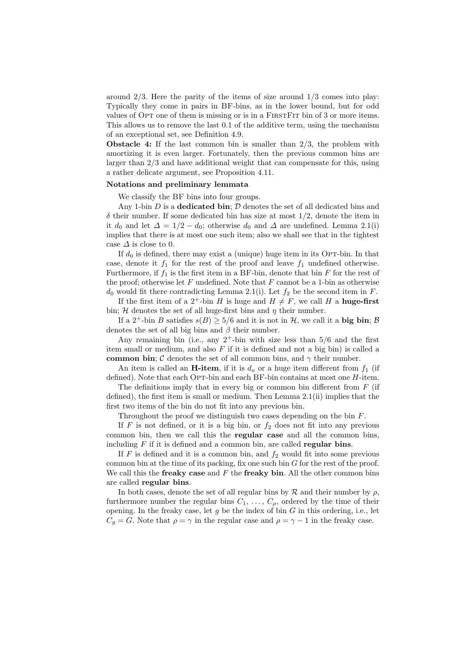around  $2/3$ . Here the parity of the items of size around  $1/3$  comes into play: Typically they come in pairs in BF-bins, as in the lower bound, but for odd values of OPT one of them is missing or is in a FIRSTFIT bin of 3 or more items. This allows us to remove the last 0.1 of the additive term, using the mechanism of an exceptional set, see Definition 4.9.

**Obstacle 4:** If the last common bin is smaller than  $2/3$ , the problem with amortizing it is even larger. Fortunately, then the previous common bins are larger than 2/3 and have additional weight that can compensate for this, using a rather delicate argument, see Proposition 4.11.

#### Notations and preliminary lemmata

We classify the BF bins into four groups.

Any 1-bin  $D$  is a dedicated bin;  $D$  denotes the set of all dedicated bins and  $\delta$  their number. If some dedicated bin has size at most  $1/2$ , denote the item in it  $d_0$  and let  $\Delta = 1/2 - d_0$ ; otherwise  $d_0$  and  $\Delta$  are undefined. Lemma 2.1(i) implies that there is at most one such item; also we shall see that in the tightest case  $\Delta$  is close to 0.

If  $d_0$  is defined, there may exist a (unique) huge item in its Opt-bin. In that case, denote it  $f_1$  for the rest of the proof and leave  $f_1$  undefined otherwise. Furthermore, if  $f_1$  is the first item in a BF-bin, denote that bin  $F$  for the rest of the proof; otherwise let  $F$  undefined. Note that  $F$  cannot be a 1-bin as otherwise  $d_0$  would fit there contradicting Lemma 2.1(i). Let  $f_2$  be the second item in F.

If the first item of a 2<sup>+</sup>-bin H is huge and  $H \neq F$ , we call H a **huge-first** bin; H denotes the set of all huge-first bins and  $\eta$  their number.

If a  $2^+$ -bin B satisfies  $s(B) > 5/6$  and it is not in H, we call it a big bin; B denotes the set of all big bins and  $\beta$  their number.

Any remaining bin (i.e., any  $2^+$ -bin with size less than  $5/6$  and the first item small or medium, and also  $F$  if it is defined and not a big bin) is called a common bin; C denotes the set of all common bins, and  $\gamma$  their number.

An item is called an **H-item**, if it is  $d<sub>o</sub>$  or a huge item different from  $f<sub>1</sub>$  (if defined). Note that each OPT-bin and each BF-bin contains at most one  $H$ -item.

The definitions imply that in every big or common bin different from  $F$  (if defined), the first item is small or medium. Then Lemma 2.1(ii) implies that the first two items of the bin do not fit into any previous bin.

Throughout the proof we distinguish two cases depending on the bin F.

If  $F$  is not defined, or it is a big bin, or  $f_2$  does not fit into any previous common bin, then we call this the regular case and all the common bins, including  $F$  if it is defined and a common bin, are called **regular bins**.

If F is defined and it is a common bin, and  $f_2$  would fit into some previous common bin at the time of its packing, fix one such bin  $G$  for the rest of the proof. We call this the **freaky case** and  $F$  the **freaky bin.** All the other common bins are called regular bins.

In both cases, denote the set of all regular bins by  $R$  and their number by  $\rho$ , furthermore number the regular bins  $C_1, \ldots, C_{\rho}$ , ordered by the time of their opening. In the freaky case, let  $g$  be the index of bin  $G$  in this ordering, i.e., let  $C_g = G$ . Note that  $\rho = \gamma$  in the regular case and  $\rho = \gamma - 1$  in the freaky case.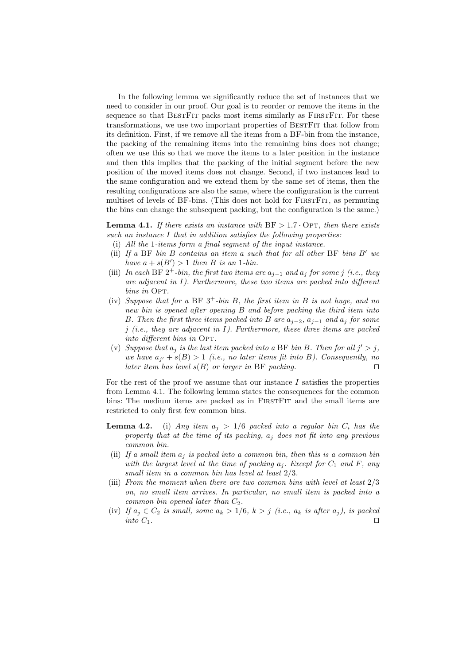In the following lemma we significantly reduce the set of instances that we need to consider in our proof. Our goal is to reorder or remove the items in the sequence so that BESTFIT packs most items similarly as FIRSTFIT. For these transformations, we use two important properties of BESTFIT that follow from its definition. First, if we remove all the items from a BF-bin from the instance, the packing of the remaining items into the remaining bins does not change; often we use this so that we move the items to a later position in the instance and then this implies that the packing of the initial segment before the new position of the moved items does not change. Second, if two instances lead to the same configuration and we extend them by the same set of items, then the resulting configurations are also the same, where the configuration is the current multiset of levels of BF-bins. (This does not hold for FIRSTFIT, as permuting the bins can change the subsequent packing, but the configuration is the same.)

**Lemma 4.1.** If there exists an instance with  $BF > 1.7 \cdot OPT$ , then there exists such an instance I that in addition satisfies the following properties:

- (i) All the 1-items form a final segment of the input instance.
- (ii) If a BF bin B contains an item a such that for all other BF bins  $B'$  we have  $a + s(B') > 1$  then B is an 1-bin.
- (iii) In each BF  $2^+$ -bin, the first two items are  $a_{j-1}$  and  $a_j$  for some j (i.e., they are adjacent in  $I$ ). Furthermore, these two items are packed into different bins in OPT.
- (iv) Suppose that for a BF  $3^+$ -bin B, the first item in B is not huge, and no new bin is opened after opening B and before packing the third item into B. Then the first three items packed into B are  $a_{i-2}$ ,  $a_{i-1}$  and  $a_i$  for some j (i.e., they are adjacent in  $I$ ). Furthermore, these three items are packed into different bins in OPT.
- (v) Suppose that  $a_j$  is the last item packed into a BF bin B. Then for all  $j' > j$ , we have  $a_{j'} + s(B) > 1$  (i.e., no later items fit into B). Consequently, no later item has level  $s(B)$  or larger in BF packing.

For the rest of the proof we assume that our instance  $I$  satisfies the properties from Lemma 4.1. The following lemma states the consequences for the common bins: The medium items are packed as in FirstFit and the small items are restricted to only first few common bins.

- **Lemma 4.2.** (i) Any item  $a_j > 1/6$  packed into a regular bin  $C_i$  has the property that at the time of its packing,  $a_i$  does not fit into any previous common bin.
- (ii) If a small item  $a_i$  is packed into a common bin, then this is a common bin with the largest level at the time of packing  $a_i$ . Except for  $C_1$  and F, any small item in a common bin has level at least 2/3.
- (iii) From the moment when there are two common bins with level at least 2/3 on, no small item arrives. In particular, no small item is packed into a common bin opened later than  $C_2$ .
- (iv) If  $a_j \in C_2$  is small, some  $a_k > 1/6$ ,  $k > j$  (i.e.,  $a_k$  is after  $a_j$ ), is packed into  $C_1$ .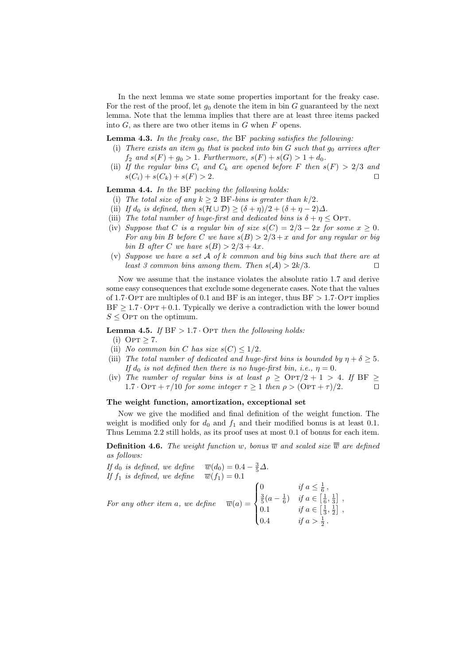In the next lemma we state some properties important for the freaky case. For the rest of the proof, let  $g_0$  denote the item in bin G guaranteed by the next lemma. Note that the lemma implies that there are at least three items packed into  $G$ , as there are two other items in  $G$  when  $F$  opens.

**Lemma 4.3.** In the freaky case, the BF packing satisfies the following:

- (i) There exists an item  $g_0$  that is packed into bin G such that  $g_0$  arrives after  $f_2$  and  $s(F) + g_0 > 1$ . Furthermore,  $s(F) + s(G) > 1 + d_0$ .
- (ii) If the regular bins  $C_i$  and  $C_k$  are opened before F then  $s(F) > 2/3$  and  $s(C_i) + s(C_k) + s(F) > 2.$

Lemma 4.4. In the BF packing the following holds:

- (i) The total size of any  $k \geq 2$  BF-bins is greater than  $k/2$ .
- (ii) If  $d_0$  is defined, then  $s(\mathcal{H} \cup \mathcal{D}) \geq (\delta + \eta)/2 + (\delta + \eta 2)\Delta$ .
- (iii) The total number of huge-first and dedicated bins is  $\delta + \eta \leq \text{OPT}$ .
- (iv) Suppose that C is a regular bin of size  $s(C) = 2/3 2x$  for some  $x \ge 0$ . For any bin B before C we have  $s(B) > 2/3 + x$  and for any regular or big bin B after C we have  $s(B) > 2/3 + 4x$ .
- (v) Suppose we have a set  $A$  of k common and big bins such that there are at least 3 common bins among them. Then  $s(A) > 2k/3$ .

Now we assume that the instance violates the absolute ratio 1.7 and derive some easy consequences that exclude some degenerate cases. Note that the values of 1.7 OPT are multiples of 0.1 and BF is an integer, thus  $BF > 1.7$  OPT implies  $BF \geq 1.7 \cdot OPT + 0.1$ . Typically we derive a contradiction with the lower bound  $S \leq$  OPT on the optimum.

**Lemma 4.5.** If  $BF > 1.7 \cdot OPT$  then the following holds:

- (i) OPT  $\geq 7$ .
- (ii) No common bin C has size  $s(C) \leq 1/2$ .
- (iii) The total number of dedicated and huge-first bins is bounded by  $\eta + \delta > 5$ . If  $d_0$  is not defined then there is no huge-first bin, i.e.,  $\eta = 0$ .
- (iv) The number of regular bins is at least  $\rho \geq \text{OPT}/2 + 1 > 4$ . If BF  $\geq$ 1.7 · OPT +  $\tau/10$  for some integer  $\tau \geq 1$  then  $\rho > (\text{OPT} + \tau)/2$ .

#### The weight function, amortization, exceptional set

Now we give the modified and final definition of the weight function. The weight is modified only for  $d_0$  and  $f_1$  and their modified bonus is at least 0.1. Thus Lemma 2.2 still holds, as its proof uses at most 0.1 of bonus for each item.

**Definition 4.6.** The weight function w, bonus  $\overline{w}$  and scaled size  $\overline{\overline{w}}$  are defined as follows:

If 
$$
d_0
$$
 is defined, we define  $\overline{w}(d_0) = 0.4 - \frac{3}{5}\Delta$ .  
\nIf  $f_1$  is defined, we define  $\overline{w}(f_1) = 0.1$   
\nFor any other item  $a$ , we define  $\overline{w}(a) = \begin{cases} 0 & \text{if } a \leq \frac{1}{6} \\ \frac{3}{5}(a - \frac{1}{6}) & \text{if } a \in \left[\frac{1}{6}, \frac{1}{3}\right] \\ 0.1 & \text{if } a \in \left[\frac{1}{3}, \frac{1}{2}\right] \\ 0.4 & \text{if } a > \frac{1}{2} \end{cases}$ .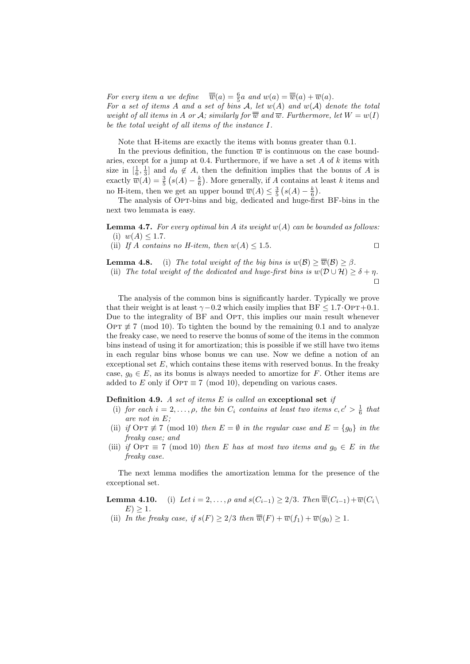For every item a we define  $\overline{\overline{w}}(a) = \frac{6}{5}a$  and  $w(a) = \overline{\overline{w}}(a) + \overline{w}(a)$ . For a set of items A and a set of bins A, let  $w(A)$  and  $w(A)$  denote the total weight of all items in A or A; similarly for  $\overline{\overline{w}}$  and  $\overline{w}$ . Furthermore, let  $W = w(I)$ be the total weight of all items of the instance I.

Note that H-items are exactly the items with bonus greater than 0.1.

In the previous definition, the function  $\overline{w}$  is continuous on the case boundaries, except for a jump at 0.4. Furthermore, if we have a set  $A$  of  $k$  items with size in  $[\frac{1}{6}, \frac{1}{3}]$  and  $d_0 \notin A$ , then the definition implies that the bonus of A is exactly  $\overline{w}(A) = \frac{3}{5} (s(A) - \frac{k}{6})$ . More generally, if A contains at least k items and no H-item, then we get an upper bound  $\overline{w}(A) \leq \frac{3}{5} (s(A) - \frac{k}{6}).$ 

The analysis of OPT-bins and big, dedicated and huge-first BF-bins in the next two lemmata is easy.

**Lemma 4.7.** For every optimal bin A its weight  $w(A)$  can be bounded as follows: (i)  $w(A) \leq 1.7$ .

(ii) If A contains no H-item, then  $w(A) \leq 1.5$ .

**Lemma 4.8.** (i) The total weight of the big bins is  $w(\mathcal{B}) \geq \overline{w}(\mathcal{B}) \geq \beta$ . (ii) The total weight of the dedicated and huge-first bins is  $w(\mathcal{D} \cup \mathcal{H}) \geq \delta + \eta$ .

 $\Box$ 

The analysis of the common bins is significantly harder. Typically we prove that their weight is at least  $\gamma$ −0.2 which easily implies that BF  $\leq$  1.7 $\cdot$ OpT+0.1. Due to the integrality of BF and OPT, this implies our main result whenever OPT  $\not\equiv$  7 (mod 10). To tighten the bound by the remaining 0.1 and to analyze the freaky case, we need to reserve the bonus of some of the items in the common bins instead of using it for amortization; this is possible if we still have two items in each regular bins whose bonus we can use. Now we define a notion of an exceptional set  $E$ , which contains these items with reserved bonus. In the freaky case,  $g_0 \in E$ , as its bonus is always needed to amortize for F. Other items are added to E only if OPT  $\equiv 7 \pmod{10}$ , depending on various cases.

**Definition 4.9.** A set of items  $E$  is called an exceptional set if

- (i) for each  $i = 2, ..., \rho$ , the bin  $C_i$  contains at least two items  $c, c' > \frac{1}{6}$  that are not in E;
- (ii) if OPT  $\not\equiv$  7 (mod 10) then  $E = \emptyset$  in the regular case and  $E = \{g_0\}$  in the freaky case; and
- (iii) if  $\text{OPT} \equiv 7 \pmod{10}$  then E has at most two items and  $q_0 \in E$  in the freaky case.

The next lemma modifies the amortization lemma for the presence of the exceptional set.

- **Lemma 4.10.** (i) Let  $i = 2, ..., \rho$  and  $s(C_{i-1}) \geq 2/3$ . Then  $\overline{\overline{w}}(C_{i-1}) + \overline{w}(C_i \setminus \overline{C_i})$  $E$ ) > 1.
- (ii) In the freaky case, if  $s(F) \geq 2/3$  then  $\overline{\overline{w}}(F) + \overline{w}(f_1) + \overline{w}(g_0) \geq 1$ .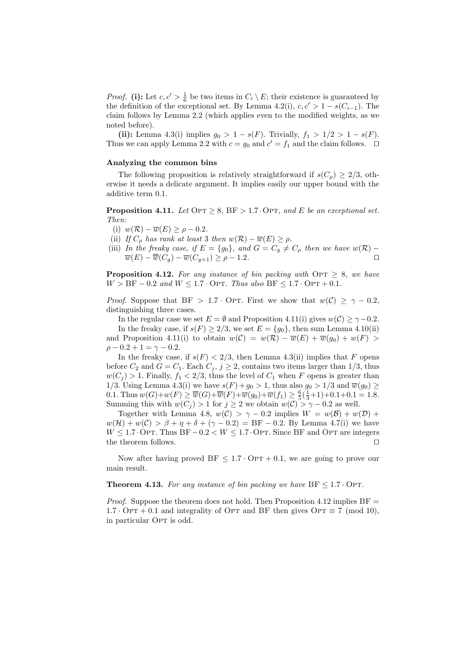*Proof.* (i): Let  $c, c' > \frac{1}{6}$  be two items in  $C_i \setminus E$ ; their existence is guaranteed by the definition of the exceptional set. By Lemma 4.2(i),  $c, c' > 1 - s(C_{i-1})$ . The claim follows by Lemma 2.2 (which applies even to the modified weights, as we noted before).

(ii): Lemma 4.3(i) implies  $g_0 > 1 - s(F)$ . Trivially,  $f_1 > 1/2 > 1 - s(F)$ . Thus we can apply Lemma 2.2 with  $c = g_0$  and  $c' = f_1$  and the claim follows.  $\square$ 

#### Analyzing the common bins

The following proposition is relatively straightforward if  $s(C_\rho) \geq 2/3$ , otherwise it needs a delicate argument. It implies easily our upper bound with the additive term 0.1.

**Proposition 4.11.** Let  $\text{OPT} \geq 8$ , BF > 1.7 · Opt, and E be an exceptional set. Then:

- (i)  $w(\mathcal{R}) \overline{w}(E) \ge \rho 0.2$ .
- (ii) If  $C_o$  has rank at least 3 then  $w(\mathcal{R}) \overline{w}(E) \ge \rho$ .
- (iii) In the freaky case, if  $E = \{g_0\}$ , and  $G = C_g \neq C_\rho$  then we have  $w(\mathcal{R})$   $\overline{w}(E) - \overline{\overline{w}}(C_q) - \overline{w}(C_{q+1}) \ge \rho - 1.2.$

**Proposition 4.12.** For any instance of bin packing with  $\text{OPT} \geq 8$ , we have  $W > BF - 0.2$  and  $W \le 1.7 \cdot OPT$ . Thus also  $BF \le 1.7 \cdot OPT + 0.1$ .

*Proof.* Suppose that BF > 1.7 · OPT. First we show that  $w(C) \ge \gamma - 0.2$ , distinguishing three cases.

In the regular case we set  $E = \emptyset$  and Proposition 4.11(i) gives  $w(C) \ge \gamma - 0.2$ . In the freaky case, if  $s(F) \geq 2/3$ , we set  $E = \{g_0\}$ , then sum Lemma 4.10(ii) and Proposition 4.11(i) to obtain  $w(C) = w(\mathcal{R}) - \overline{w}(E) + \overline{w}(g_0) + w(F)$  $\rho - 0.2 + 1 = \gamma - 0.2.$ 

In the freaky case, if  $s(F) < 2/3$ , then Lemma 4.3(ii) implies that F opens before  $C_2$  and  $G = C_1$ . Each  $C_j$ ,  $j \geq 2$ , contains two items larger than 1/3, thus  $w(C_i) > 1$ . Finally,  $f_1 < 2/3$ , thus the level of  $C_1$  when F opens is greater than 1/3. Using Lemma 4.3(i) we have  $s(F) + g_0 > 1$ , thus also  $g_0 > 1/3$  and  $\overline{w}(g_0) \ge$ 0.1. Thus  $w(G)+w(F) \ge \overline{\overline{w}}(G)+\overline{\overline{w}}(F)+\overline{w}(g_0)+\overline{w}(f_1) \ge \frac{6}{5}(\frac{1}{3}+1)+0.1+0.1=1.8$ . Summing this with  $w(C_i) > 1$  for  $j \geq 2$  we obtain  $w(C) > \gamma - 0.2$  as well.

Together with Lemma 4.8,  $w(C) > \gamma - 0.2$  implies  $W = w(B) + w(D) +$  $w(\mathcal{H}) + w(\mathcal{C}) > \beta + \eta + \delta + (\gamma - 0.2) = \text{BF} - 0.2$ . By Lemma 4.7(i) we have  $W \leq 1.7 \cdot \text{OPT}$ . Thus BF  $-0.2 < W \leq 1.7 \cdot \text{OPT}$ . Since BF and OPT are integers the theorem follows.  $\Box$ 

Now after having proved BF  $\leq 1.7 \cdot \text{OPT} + 0.1$ , we are going to prove our main result.

**Theorem 4.13.** For any instance of bin packing we have  $BF \leq 1.7 \cdot OPT$ .

*Proof.* Suppose the theorem does not hold. Then Proposition 4.12 implies  $BF =$  $1.7 \cdot \text{OPT} + 0.1$  and integrality of OPT and BF then gives OPT  $\equiv 7 \pmod{10}$ , in particular OPT is odd.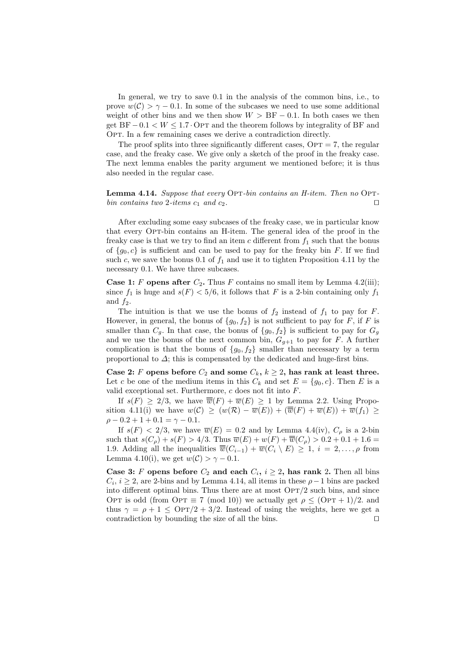In general, we try to save 0.1 in the analysis of the common bins, i.e., to prove  $w(\mathcal{C}) > \gamma - 0.1$ . In some of the subcases we need to use some additional weight of other bins and we then show  $W > BF - 0.1$ . In both cases we then get  $BF-0.1 < W \leq 1.7$  OPT and the theorem follows by integrality of BF and OPT. In a few remaining cases we derive a contradiction directly.

The proof splits into three significantly different cases,  $\text{OPT} = 7$ , the regular case, and the freaky case. We give only a sketch of the proof in the freaky case. The next lemma enables the parity argument we mentioned before; it is thus also needed in the regular case.

## Lemma 4.14. Suppose that every OPT-bin contains an H-item. Then no OPTbin contains two 2-items  $c_1$  and  $c_2$ .

After excluding some easy subcases of the freaky case, we in particular know that every Opt-bin contains an H-item. The general idea of the proof in the freaky case is that we try to find an item c different from  $f_1$  such that the bonus of  $\{g_0, c\}$  is sufficient and can be used to pay for the freaky bin F. If we find such c, we save the bonus 0.1 of  $f_1$  and use it to tighten Proposition 4.11 by the necessary 0.1. We have three subcases.

**Case 1:** F opens after  $C_2$ . Thus F contains no small item by Lemma 4.2(iii); since  $f_1$  is huge and  $s(F) < 5/6$ , it follows that F is a 2-bin containing only  $f_1$ and  $f_2$ .

The intuition is that we use the bonus of  $f_2$  instead of  $f_1$  to pay for F. However, in general, the bonus of  $\{g_0, f_2\}$  is not sufficient to pay for F, if F is smaller than  $C_g$ . In that case, the bonus of  $\{g_0, f_2\}$  is sufficient to pay for  $G_g$ and we use the bonus of the next common bin,  $G_{g+1}$  to pay for F. A further complication is that the bonus of  $\{g_0, f_2\}$  smaller than necessary by a term proportional to  $\Delta$ ; this is compensated by the dedicated and huge-first bins.

Case 2: F opens before  $C_2$  and some  $C_k$ ,  $k \geq 2$ , has rank at least three. Let c be one of the medium items in this  $C_k$  and set  $E = \{g_0, c\}$ . Then E is a valid exceptional set. Furthermore, c does not fit into F.

If  $s(F) \geq 2/3$ , we have  $\overline{\overline{w}}(F) + \overline{w}(E) \geq 1$  by Lemma 2.2. Using Proposition 4.11(i) we have  $w(C) \geq (w(\mathcal{R}) - \overline{w}(E)) + (\overline{\overline{w}}(F) + \overline{w}(E)) + \overline{w}(f_1) \geq$  $\rho - 0.2 + 1 + 0.1 = \gamma - 0.1.$ 

If  $s(F) < 2/3$ , we have  $\overline{w}(E) = 0.2$  and by Lemma 4.4(iv),  $C_{\rho}$  is a 2-bin such that  $s(C_{\rho}) + s(F) > 4/3$ . Thus  $\overline{w}(E) + w(F) + \overline{\overline{w}}(C_{\rho}) > 0.2 + 0.1 + 1.6 =$ 1.9. Adding all the inequalities  $\overline{\overline{w}}(C_{i-1}) + \overline{w}(C_i \setminus E) \geq 1$ ,  $i = 2, \ldots, \rho$  from Lemma 4.10(i), we get  $w(\mathcal{C}) > \gamma - 0.1$ .

Case 3: F opens before  $C_2$  and each  $C_i$ ,  $i \geq 2$ , has rank 2. Then all bins  $C_i, i \geq 2$ , are 2-bins and by Lemma 4.14, all items in these  $\rho - 1$  bins are packed into different optimal bins. Thus there are at most  $\text{OPT}/2$  such bins, and since OPT is odd (from OPT  $\equiv 7 \pmod{10}$ ) we actually get  $\rho \leq (OPT + 1)/2$ . and thus  $\gamma = \rho + 1 \leq \text{OPT}/2 + 3/2$ . Instead of using the weights, here we get a contradiction by bounding the size of all the bins.  $\Box$